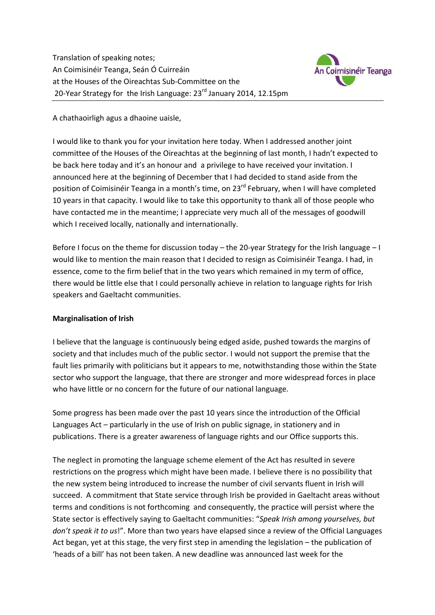Translation of speaking notes; An Coimisinéir Teanga, Seán Ó Cuirreáin at the Houses of the Oireachtas Sub-Committee on the 20-Year Strategy for the Irish Language:  $23<sup>rd</sup>$  January 2014, 12.15pm



A chathaoirligh agus a dhaoine uaisle,

I would like to thank you for your invitation here today. When I addressed another joint committee of the Houses of the Oireachtas at the beginning of last month, I hadn't expected to be back here today and it's an honour and a privilege to have received your invitation. I announced here at the beginning of December that I had decided to stand aside from the position of Coimisinéir Teanga in a month's time, on 23<sup>rd</sup> February, when I will have completed 10 years in that capacity. I would like to take this opportunity to thank all of those people who have contacted me in the meantime; I appreciate very much all of the messages of goodwill which I received locally, nationally and internationally.

Before I focus on the theme for discussion today – the 20-year Strategy for the Irish language – I would like to mention the main reason that I decided to resign as Coimisinéir Teanga. I had, in essence, come to the firm belief that in the two years which remained in my term of office, there would be little else that I could personally achieve in relation to language rights for Irish speakers and Gaeltacht communities.

#### **Marginalisation of Irish**

I believe that the language is continuously being edged aside, pushed towards the margins of society and that includes much of the public sector. I would not support the premise that the fault lies primarily with politicians but it appears to me, notwithstanding those within the State sector who support the language, that there are stronger and more widespread forces in place who have little or no concern for the future of our national language.

Some progress has been made over the past 10 years since the introduction of the Official Languages Act – particularly in the use of Irish on public signage, in stationery and in publications. There is a greater awareness of language rights and our Office supports this.

The neglect in promoting the language scheme element of the Act has resulted in severe restrictions on the progress which might have been made. I believe there is no possibility that the new system being introduced to increase the number of civil servants fluent in Irish will succeed. A commitment that State service through Irish be provided in Gaeltacht areas without terms and conditions is not forthcoming and consequently, the practice will persist where the State sector is effectively saying to Gaeltacht communities: "*Speak Irish among yourselves, but don't speak it to us*!". More than two years have elapsed since a review of the Official Languages Act began, yet at this stage, the very first step in amending the legislation – the publication of 'heads of a bill' has not been taken. A new deadline was announced last week for the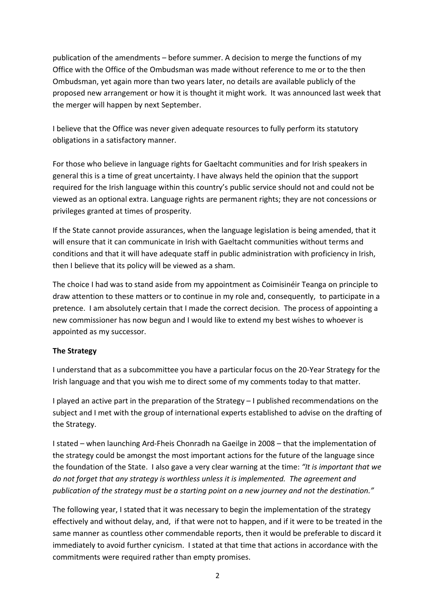publication of the amendments – before summer. A decision to merge the functions of my Office with the Office of the Ombudsman was made without reference to me or to the then Ombudsman, yet again more than two years later, no details are available publicly of the proposed new arrangement or how it is thought it might work. It was announced last week that the merger will happen by next September.

I believe that the Office was never given adequate resources to fully perform its statutory obligations in a satisfactory manner.

For those who believe in language rights for Gaeltacht communities and for Irish speakers in general this is a time of great uncertainty. I have always held the opinion that the support required for the Irish language within this country's public service should not and could not be viewed as an optional extra. Language rights are permanent rights; they are not concessions or privileges granted at times of prosperity.

If the State cannot provide assurances, when the language legislation is being amended, that it will ensure that it can communicate in Irish with Gaeltacht communities without terms and conditions and that it will have adequate staff in public administration with proficiency in Irish, then I believe that its policy will be viewed as a sham.

The choice I had was to stand aside from my appointment as Coimisinéir Teanga on principle to draw attention to these matters or to continue in my role and, consequently, to participate in a pretence. I am absolutely certain that I made the correct decision. The process of appointing a new commissioner has now begun and I would like to extend my best wishes to whoever is appointed as my successor.

#### **The Strategy**

I understand that as a subcommittee you have a particular focus on the 20-Year Strategy for the Irish language and that you wish me to direct some of my comments today to that matter.

I played an active part in the preparation of the Strategy – I published recommendations on the subject and I met with the group of international experts established to advise on the drafting of the Strategy.

I stated – when launching Ard-Fheis Chonradh na Gaeilge in 2008 – that the implementation of the strategy could be amongst the most important actions for the future of the language since the foundation of the State. I also gave a very clear warning at the time: *"It is important that we do not forget that any strategy is worthless unless it is implemented. The agreement and publication of the strategy must be a starting point on a new journey and not the destination."*

The following year, I stated that it was necessary to begin the implementation of the strategy effectively and without delay, and, if that were not to happen, and if it were to be treated in the same manner as countless other commendable reports, then it would be preferable to discard it immediately to avoid further cynicism. I stated at that time that actions in accordance with the commitments were required rather than empty promises.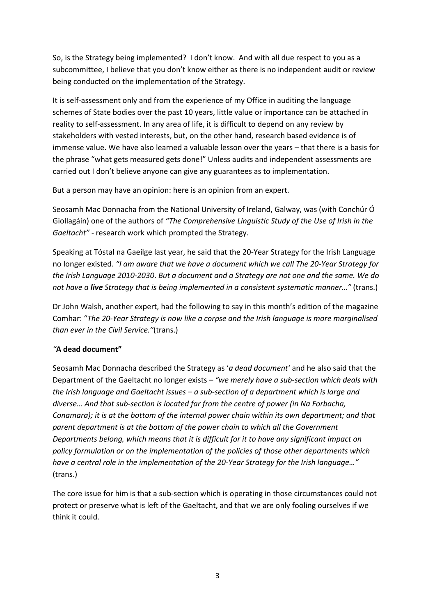So, is the Strategy being implemented? I don't know. And with all due respect to you as a subcommittee, I believe that you don't know either as there is no independent audit or review being conducted on the implementation of the Strategy.

It is self-assessment only and from the experience of my Office in auditing the language schemes of State bodies over the past 10 years, little value or importance can be attached in reality to self-assessment. In any area of life, it is difficult to depend on any review by stakeholders with vested interests, but, on the other hand, research based evidence is of immense value. We have also learned a valuable lesson over the years – that there is a basis for the phrase "what gets measured gets done!" Unless audits and independent assessments are carried out I don't believe anyone can give any guarantees as to implementation.

But a person may have an opinion: here is an opinion from an expert.

Seosamh Mac Donnacha from the National University of Ireland, Galway, was (with Conchúr Ó Giollagáin) one of the authors of *"The Comprehensive Linguistic Study of the Use of Irish in the Gaeltacht"* - research work which prompted the Strategy.

Speaking at Tóstal na Gaeilge last year, he said that the 20-Year Strategy for the Irish Language no longer existed. *"I am aware that we have a document which we call The 20-Year Strategy for the Irish Language 2010-2030*. *But a document and a Strategy are not one and the same. We do not have a live Strategy that is being implemented in a consistent systematic manner…"* (trans.)

Dr John Walsh, another expert, had the following to say in this month's edition of the magazine Comhar: "*The 20-Year Strategy is now like a corpse and the Irish language is more marginalised than ever in the Civil Service."*(trans.)

# *"***A dead document"**

Seosamh Mac Donnacha described the Strategy as '*a dead document'* and he also said that the Department of the Gaeltacht no longer exists – *"we merely have a sub-section which deals with the Irish language and Gaeltacht issues – a sub-section of a department which is large and diverse… And that sub-section is located far from the centre of power (in Na Forbacha, Conamara); it is at the bottom of the internal power chain within its own department; and that parent department is at the bottom of the power chain to which all the Government Departments belong, which means that it is difficult for it to have any significant impact on policy formulation or on the implementation of the policies of those other departments which have a central role in the implementation of the 20-Year Strategy for the Irish language…"*  (trans.)

The core issue for him is that a sub-section which is operating in those circumstances could not protect or preserve what is left of the Gaeltacht, and that we are only fooling ourselves if we think it could.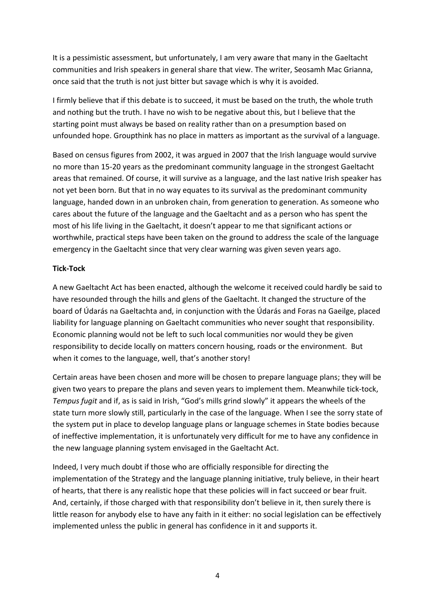It is a pessimistic assessment, but unfortunately, I am very aware that many in the Gaeltacht communities and Irish speakers in general share that view. The writer, Seosamh Mac Grianna, once said that the truth is not just bitter but savage which is why it is avoided.

I firmly believe that if this debate is to succeed, it must be based on the truth, the whole truth and nothing but the truth. I have no wish to be negative about this, but I believe that the starting point must always be based on reality rather than on a presumption based on unfounded hope. Groupthink has no place in matters as important as the survival of a language.

Based on census figures from 2002, it was argued in 2007 that the Irish language would survive no more than 15-20 years as the predominant community language in the strongest Gaeltacht areas that remained. Of course, it will survive as a language, and the last native Irish speaker has not yet been born. But that in no way equates to its survival as the predominant community language, handed down in an unbroken chain, from generation to generation. As someone who cares about the future of the language and the Gaeltacht and as a person who has spent the most of his life living in the Gaeltacht, it doesn't appear to me that significant actions or worthwhile, practical steps have been taken on the ground to address the scale of the language emergency in the Gaeltacht since that very clear warning was given seven years ago.

# **Tick-Tock**

A new Gaeltacht Act has been enacted, although the welcome it received could hardly be said to have resounded through the hills and glens of the Gaeltacht. It changed the structure of the board of Údarás na Gaeltachta and, in conjunction with the Údarás and Foras na Gaeilge, placed liability for language planning on Gaeltacht communities who never sought that responsibility. Economic planning would not be left to such local communities nor would they be given responsibility to decide locally on matters concern housing, roads or the environment. But when it comes to the language, well, that's another story!

Certain areas have been chosen and more will be chosen to prepare language plans; they will be given two years to prepare the plans and seven years to implement them. Meanwhile tick-tock, *Tempus fugit* and if, as is said in Irish, "God's mills grind slowly" it appears the wheels of the state turn more slowly still, particularly in the case of the language. When I see the sorry state of the system put in place to develop language plans or language schemes in State bodies because of ineffective implementation, it is unfortunately very difficult for me to have any confidence in the new language planning system envisaged in the Gaeltacht Act.

Indeed, I very much doubt if those who are officially responsible for directing the implementation of the Strategy and the language planning initiative, truly believe, in their heart of hearts, that there is any realistic hope that these policies will in fact succeed or bear fruit. And, certainly, if those charged with that responsibility don't believe in it, then surely there is little reason for anybody else to have any faith in it either: no social legislation can be effectively implemented unless the public in general has confidence in it and supports it.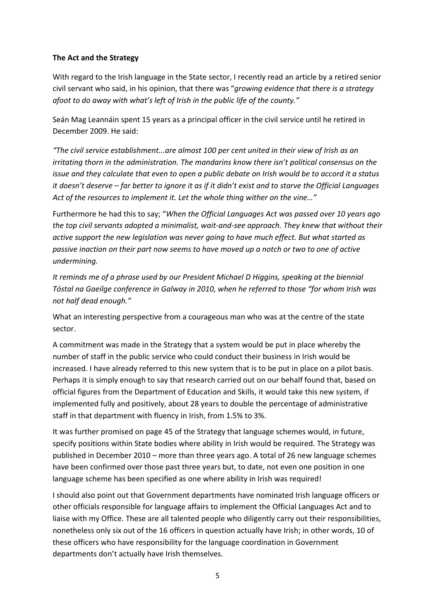### **The Act and the Strategy**

With regard to the Irish language in the State sector, I recently read an article by a retired senior civil servant who said, in his opinion, that there was "*growing evidence that there is a strategy afoot to do away with what's left of Irish in the public life of the county."* 

Seán Mag Leannáin spent 15 years as a principal officer in the civil service until he retired in December 2009. He said:

*"The civil service establishment...are almost 100 per cent united in their view of Irish as an irritating thorn in the administration. The mandarins know there isn't political consensus on the issue and they calculate that even to open a public debate on Irish would be to accord it a status it doesn't deserve – far better to ignore it as if it didn't exist and to starve the Official Languages Act of the resources to implement it. Let the whole thing wither on the vine…"* 

Furthermore he had this to say; "*When the Official Languages Act was passed over 10 years ago the top civil servants adopted a minimalist, wait-and-see approach. They knew that without their active support the new legislation was never going to have much effect. But what started as passive inaction on their part now seems to have moved up a notch or two to one of active undermining.* 

*It reminds me of a phrase used by our President Michael D Higgins, speaking at the biennial Tóstal na Gaeilge conference in Galway in 2010, when he referred to those "for whom Irish was not half dead enough."* 

What an interesting perspective from a courageous man who was at the centre of the state sector.

A commitment was made in the Strategy that a system would be put in place whereby the number of staff in the public service who could conduct their business in Irish would be increased. I have already referred to this new system that is to be put in place on a pilot basis. Perhaps it is simply enough to say that research carried out on our behalf found that, based on official figures from the Department of Education and Skills, it would take this new system, if implemented fully and positively, about 28 years to double the percentage of administrative staff in that department with fluency in Irish, from 1.5% to 3%.

It was further promised on page 45 of the Strategy that language schemes would, in future, specify positions within State bodies where ability in Irish would be required. The Strategy was published in December 2010 – more than three years ago. A total of 26 new language schemes have been confirmed over those past three years but, to date, not even one position in one language scheme has been specified as one where ability in Irish was required!

I should also point out that Government departments have nominated Irish language officers or other officials responsible for language affairs to implement the Official Languages Act and to liaise with my Office. These are all talented people who diligently carry out their responsibilities, nonetheless only six out of the 16 officers in question actually have Irish; in other words, 10 of these officers who have responsibility for the language coordination in Government departments don't actually have Irish themselves.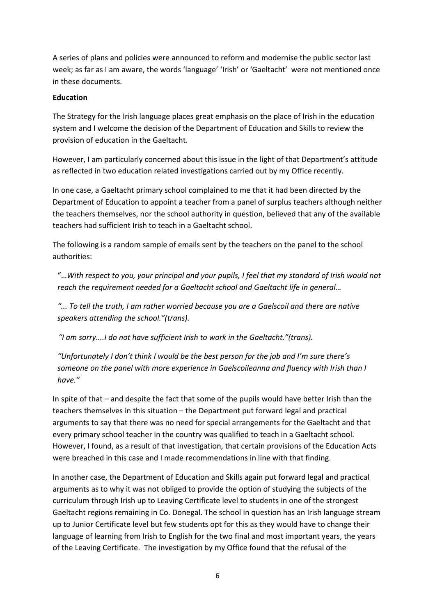A series of plans and policies were announced to reform and modernise the public sector last week; as far as I am aware, the words 'language' 'Irish' or 'Gaeltacht' were not mentioned once in these documents.

### **Education**

The Strategy for the Irish language places great emphasis on the place of Irish in the education system and I welcome the decision of the Department of Education and Skills to review the provision of education in the Gaeltacht.

However, I am particularly concerned about this issue in the light of that Department's attitude as reflected in two education related investigations carried out by my Office recently.

In one case, a Gaeltacht primary school complained to me that it had been directed by the Department of Education to appoint a teacher from a panel of surplus teachers although neither the teachers themselves, nor the school authority in question, believed that any of the available teachers had sufficient Irish to teach in a Gaeltacht school.

The following is a random sample of emails sent by the teachers on the panel to the school authorities:

"…*With respect to you, your principal and your pupils, I feel that my standard of Irish would not reach the requirement needed for a Gaeltacht school and Gaeltacht life in general…* 

*"... To tell the truth, I am rather worried because you are a Gaelscoil and there are native speakers attending the school."(trans).* 

 *"I am sorry....I do not have sufficient Irish to work in the Gaeltacht."(trans).* 

*"Unfortunately I don't think I would be the best person for the job and I'm sure there's someone on the panel with more experience in Gaelscoileanna and fluency with Irish than I have."* 

In spite of that – and despite the fact that some of the pupils would have better Irish than the teachers themselves in this situation – the Department put forward legal and practical arguments to say that there was no need for special arrangements for the Gaeltacht and that every primary school teacher in the country was qualified to teach in a Gaeltacht school. However, I found, as a result of that investigation, that certain provisions of the Education Acts were breached in this case and I made recommendations in line with that finding.

In another case, the Department of Education and Skills again put forward legal and practical arguments as to why it was not obliged to provide the option of studying the subjects of the curriculum through Irish up to Leaving Certificate level to students in one of the strongest Gaeltacht regions remaining in Co. Donegal. The school in question has an Irish language stream up to Junior Certificate level but few students opt for this as they would have to change their language of learning from Irish to English for the two final and most important years, the years of the Leaving Certificate. The investigation by my Office found that the refusal of the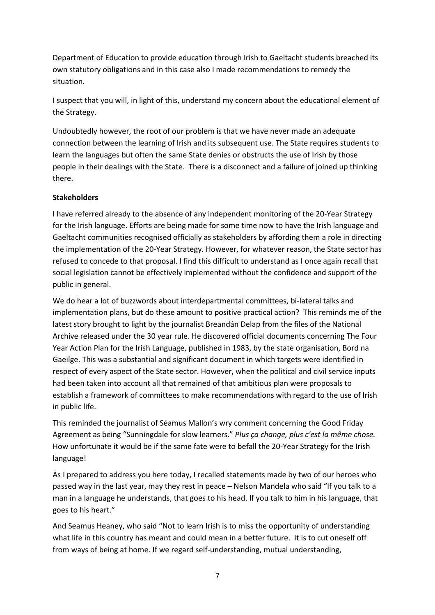Department of Education to provide education through Irish to Gaeltacht students breached its own statutory obligations and in this case also I made recommendations to remedy the situation.

I suspect that you will, in light of this, understand my concern about the educational element of the Strategy.

Undoubtedly however, the root of our problem is that we have never made an adequate connection between the learning of Irish and its subsequent use. The State requires students to learn the languages but often the same State denies or obstructs the use of Irish by those people in their dealings with the State. There is a disconnect and a failure of joined up thinking there.

# **Stakeholders**

I have referred already to the absence of any independent monitoring of the 20-Year Strategy for the Irish language. Efforts are being made for some time now to have the Irish language and Gaeltacht communities recognised officially as stakeholders by affording them a role in directing the implementation of the 20-Year Strategy. However, for whatever reason, the State sector has refused to concede to that proposal. I find this difficult to understand as I once again recall that social legislation cannot be effectively implemented without the confidence and support of the public in general.

We do hear a lot of buzzwords about interdepartmental committees, bi-lateral talks and implementation plans, but do these amount to positive practical action? This reminds me of the latest story brought to light by the journalist Breandán Delap from the files of the National Archive released under the 30 year rule. He discovered official documents concerning The Four Year Action Plan for the Irish Language, published in 1983, by the state organisation, Bord na Gaeilge. This was a substantial and significant document in which targets were identified in respect of every aspect of the State sector. However, when the political and civil service inputs had been taken into account all that remained of that ambitious plan were proposals to establish a framework of committees to make recommendations with regard to the use of Irish in public life.

This reminded the journalist of Séamus Mallon's wry comment concerning the Good Friday Agreement as being "Sunningdale for slow learners." *Plus ça change, plus c'est la même chose.*  How unfortunate it would be if the same fate were to befall the 20-Year Strategy for the Irish language!

As I prepared to address you here today, I recalled statements made by two of our heroes who passed way in the last year, may they rest in peace – Nelson Mandela who said "If you talk to a man in a language he understands, that goes to his head. If you talk to him in his language, that goes to his heart."

And Seamus Heaney, who said "Not to learn Irish is to miss the opportunity of understanding what life in this country has meant and could mean in a better future. It is to cut oneself off from ways of being at home. If we regard self-understanding, mutual understanding,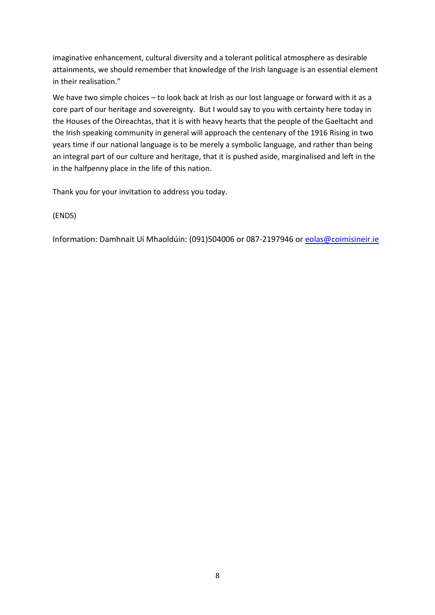imaginative enhancement, cultural diversity and a tolerant political atmosphere as desirable attainments, we should remember that knowledge of the Irish language is an essential element in their realisation."

We have two simple choices – to look back at Irish as our lost language or forward with it as a core part of our heritage and sovereignty. But I would say to you with certainty here today in the Houses of the Oireachtas, that it is with heavy hearts that the people of the Gaeltacht and the Irish speaking community in general will approach the centenary of the 1916 Rising in two years time if our national language is to be merely a symbolic language, and rather than being an integral part of our culture and heritage, that it is pushed aside, marginalised and left in the in the halfpenny place in the life of this nation.

Thank you for your invitation to address you today.

(ENDS)

Information: Damhnait Uí Mhaoldúin: (091)504006 or 087-2197946 or eolas@coimisineir.ie